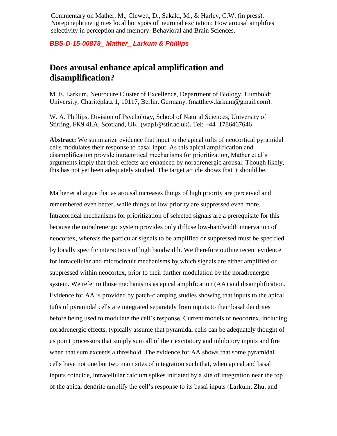Commentary on Mather, M., Clewett, D., Sakaki, M., & Harley, C.W. (in press). Norepinephrine ignites local hot spots of neuronal excitation: How arousal amplifies selectivity in perception and memory. Behavioral and Brain Sciences.

*BBS-D-15-00878\_ Mather\_ Larkum & Phillips*

## **Does arousal enhance apical amplification and disamplification?**

M. E. Larkum, Neurocure Cluster of Excellence, Department of Biology, Humboldt University, Charitéplatz 1, 10117, Berlin, Germany. (matthew.larkum@gmail.com).

W. A. Phillips, Division of Psychology, School of Natural Sciences, University of Stirling, FK9 4LA, Scotland, UK. (wap1@stir.ac.uk). Tel: +44 1786467646

**Abstract:** We summarize evidence that input to the apical tufts of neocortical pyramidal cells modulates their response to basal input. As this apical amplification and disamplification provide intracortical mechanisms for prioritization, Mather et al's arguments imply that their effects are enhanced by noradrenergic arousal. Though likely, this has not yet been adequately studied. The target article shows that it should be.

Mather et al argue that as arousal increases things of high priority are perceived and remembered even better, while things of low priority are suppressed even more. Intracortical mechanisms for prioritization of selected signals are a prerequisite for this because the noradrenergic system provides only diffuse low-bandwidth innervation of neocortex, whereas the particular signals to be amplified or suppressed must be specified by locally specific interactions of high bandwidth. We therefore outline recent evidence for intracellular and microcircuit mechanisms by which signals are either amplified or suppressed within neocortex, prior to their further modulation by the noradrenergic system. We refer to those mechanisms as apical amplification (AA) and disamplification. Evidence for AA is provided by patch-clamping studies showing that inputs to the apical tufts of pyramidal cells are integrated separately from inputs to their basal dendrites before being used to modulate the cell's response. Current models of neocortex, including noradrenergic effects, typically assume that pyramidal cells can be adequately thought of us point processors that simply sum all of their excitatory and inhibitory inputs and fire when that sum exceeds a threshold. The evidence for AA shows that some pyramidal cells have not one but two main sites of integration such that, when apical and basal inputs coincide, intracellular calcium spikes initiated by a site of integration near the top of the apical dendrite amplify the cell's response to its basal inputs (Larkum, Zhu, and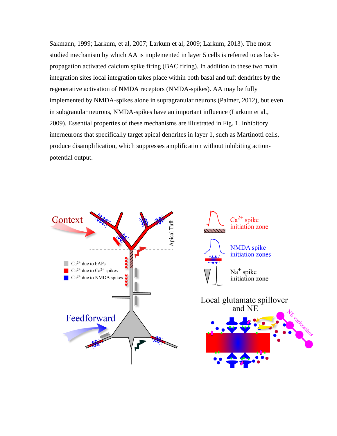Sakmann, 1999; Larkum, et al, 2007; Larkum et al, 2009; Larkum, 2013). The most studied mechanism by which AA is implemented in layer 5 cells is referred to as backpropagation activated calcium spike firing (BAC firing). In addition to these two main integration sites local integration takes place within both basal and tuft dendrites by the regenerative activation of NMDA receptors (NMDA-spikes). AA may be fully implemented by NMDA-spikes alone in supragranular neurons (Palmer, 2012), but even in subgranular neurons, NMDA-spikes have an important influence (Larkum et al., 2009). Essential properties of these mechanisms are illustrated in Fig. 1. Inhibitory interneurons that specifically target apical dendrites in layer 1, such as Martinotti cells, produce disamplification, which suppresses amplification without inhibiting actionpotential output.





 $Na<sup>+</sup> spike$ initiation zone

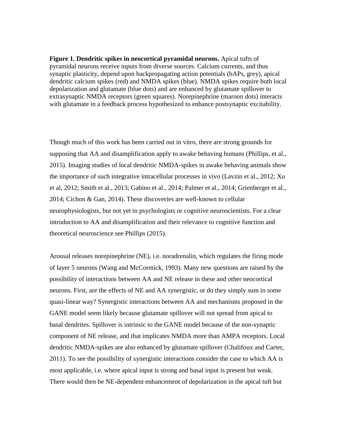**Figure 1. Dendritic spikes in neocortical pyramidal neurons.** Apical tufts of pyramidal neurons receive inputs from diverse sources. Calcium currents, and thus synaptic plasticity, depend upon backpropagating action potentials (bAPs, grey), apical dendritic calcium spikes (red) and NMDA spikes (blue). NMDA spikes require both local depolarization and glutamate (blue dots) and are enhanced by glutamate spillover to extrasynaptic NMDA receptors (green squares). Norepinephrine (maroon dots) interacts with glutamate in a feedback process hypothesized to enhance postsynaptic excitability.

Though much of this work has been carried out in vitro, there are strong grounds for supposing that AA and disamplification apply to awake behaving humans (Phillips, et al., 2015). Imaging studies of local dendritic NMDA-spikes in awake behaving animals show the importance of such integrative intracellular processes in vivo (Lavzin et al., 2012; Xu et al, 2012; Smith et al., 2013; Gabino et al., 2014; Palmer et al., 2014; Grienberger et al., 2014; Cichon & Gan, 2014). These discoveries are well-known to cellular neurophysiologists, but not yet to psychologists or cognitive neuroscientists. For a clear introduction to AA and disamplification and their relevance to cognitive function and theoretical neuroscience see Phillips (2015).

Arousal releases norepinephrine (NE), i.e. noradrenalin, which regulates the firing mode of layer 5 neurons (Wang and McCormick, 1993). Many new questions are raised by the possibility of interactions between AA and NE release in these and other neocortical neurons. First, are the effects of NE and AA synergistic, or do they simply sum in some quasi-linear way? Synergistic interactions between AA and mechanisms proposed in the GANE model seem likely because glutamate spillover will not spread from apical to basal dendrites. Spillover is intrinsic to the GANE model because of the non-synaptic component of NE release, and that implicates NMDA more than AMPA receptors. Local dendritic NMDA-spikes are also enhanced by glutamate spillover (Chalifoux and Carter, 2011). To see the possibility of synergistic interactions consider the case to which AA is most applicable, i.e. where apical input is strong and basal input is present but weak. There would then be NE-dependent enhancement of depolarization in the apical tuft but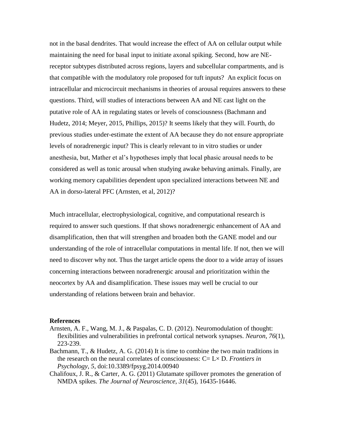not in the basal dendrites. That would increase the effect of AA on cellular output while maintaining the need for basal input to initiate axonal spiking. Second, how are NEreceptor subtypes distributed across regions, layers and subcellular compartments, and is that compatible with the modulatory role proposed for tuft inputs? An explicit focus on intracellular and microcircuit mechanisms in theories of arousal requires answers to these questions. Third, will studies of interactions between AA and NE cast light on the putative role of AA in regulating states or levels of consciousness (Bachmann and Hudetz, 2014; Meyer, 2015, Phillips, 2015)? It seems likely that they will. Fourth, do previous studies under-estimate the extent of AA because they do not ensure appropriate levels of noradrenergic input? This is clearly relevant to in vitro studies or under anesthesia, but, Mather et al's hypotheses imply that local phasic arousal needs to be considered as well as tonic arousal when studying awake behaving animals. Finally, are working memory capabilities dependent upon specialized interactions between NE and AA in dorso-lateral PFC (Arnsten, et al, 2012)?

Much intracellular, electrophysiological, cognitive, and computational research is required to answer such questions. If that shows noradrenergic enhancement of AA and disamplification, then that will strengthen and broaden both the GANE model and our understanding of the role of intracellular computations in mental life. If not, then we will need to discover why not. Thus the target article opens the door to a wide array of issues concerning interactions between noradrenergic arousal and prioritization within the neocortex by AA and disamplification. These issues may well be crucial to our understanding of relations between brain and behavior.

## **References**

- Arnsten, A. F., Wang, M. J., & Paspalas, C. D. (2012). Neuromodulation of thought: flexibilities and vulnerabilities in prefrontal cortical network synapses. *Neuron*, *76*(1), 223-239.
- Bachmann, T., & Hudetz, A. G. (2014) It is time to combine the two main traditions in the research on the neural correlates of consciousness: C= L× D. *Frontiers in Psychology*, *5*, doi:10.3389/fpsyg.2014.00940
- Chalifoux, J. R., & Carter, A. G. (2011) Glutamate spillover promotes the generation of NMDA spikes. *The Journal of Neuroscience*, *31*(45), 16435-16446.